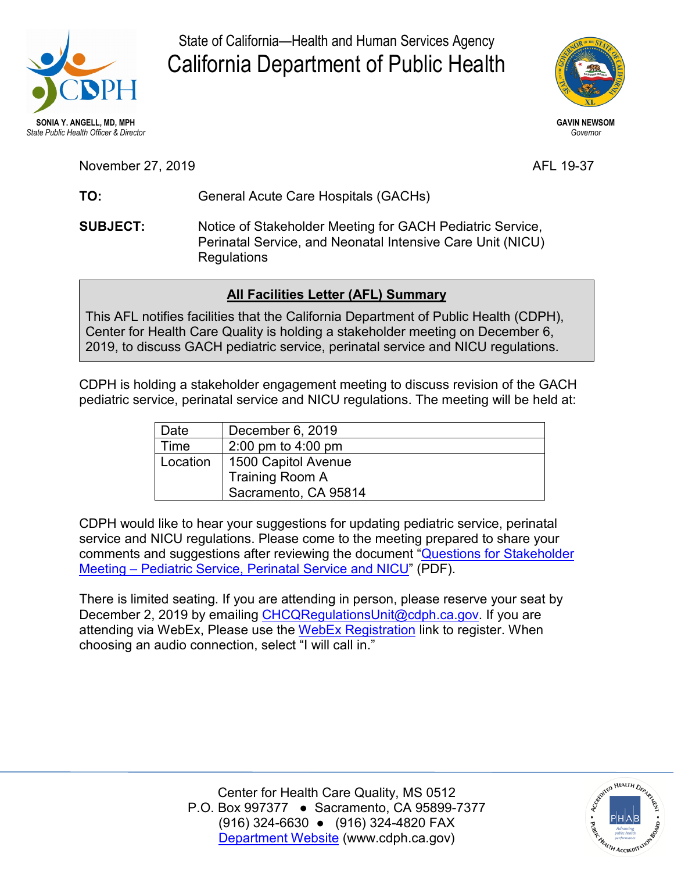

State of California—Health and Human Services Agency California Department of Public Health



November 27, 2019 AFL 19-37

TO: **TO:** General Acute Care Hospitals (GACHs)

**SUBJECT:**  Regulations Notice of Stakeholder Meeting for GACH Pediatric Service, Perinatal Service, and Neonatal Intensive Care Unit (NICU)

## **All Facilities Letter (AFL) Summary**

This AFL notifies facilities that the California Department of Public Health (CDPH), Center for Health Care Quality is holding a stakeholder meeting on December 6, 2019, to discuss GACH pediatric service, perinatal service and NICU regulations.

CDPH is holding a stakeholder engagement meeting to discuss revision of the GACH pediatric service, perinatal service and NICU regulations. The meeting will be held at:

| Date     | December 6, 2019     |
|----------|----------------------|
| Time     | 2:00 pm to $4:00$ pm |
| Location | 1500 Capitol Avenue  |
|          | Training Room A      |
|          | Sacramento, CA 95814 |

 [Meeting – Pediatric Service, Perinatal Service and NICU"](https://www.cdph.ca.gov/Programs/CHCQ/LCP/CDPH%20Document%20Library/AFL-19-37-Attachment1.pdf) (PDF). CDPH would like to hear your suggestions for updating pediatric service, perinatal service and NICU regulations. Please come to the meeting prepared to share your comments and suggestions after reviewing the document ["Questions for Stakeholder](https://www.cdph.ca.gov/Programs/CHCQ/LCP/CDPH%20Document%20Library/AFL-19-37-Attachment1.pdf) 

There is limited seating. If you are attending in person, please reserve your seat by December 2, 2019 by emailing [CHCQRegulationsUnit@cdph.ca.gov.](mailto:CHCQRegulationsUnit@cdph.ca.gov) If you are attending via WebEx, Please use the [WebEx Registration](https://cdph-conf.webex.com/cdph-conf/onstage/g.php?MTID=e794572433b6ba5b0f9925d13b63b66d8) link to register. When choosing an audio connection, select "I will call in."